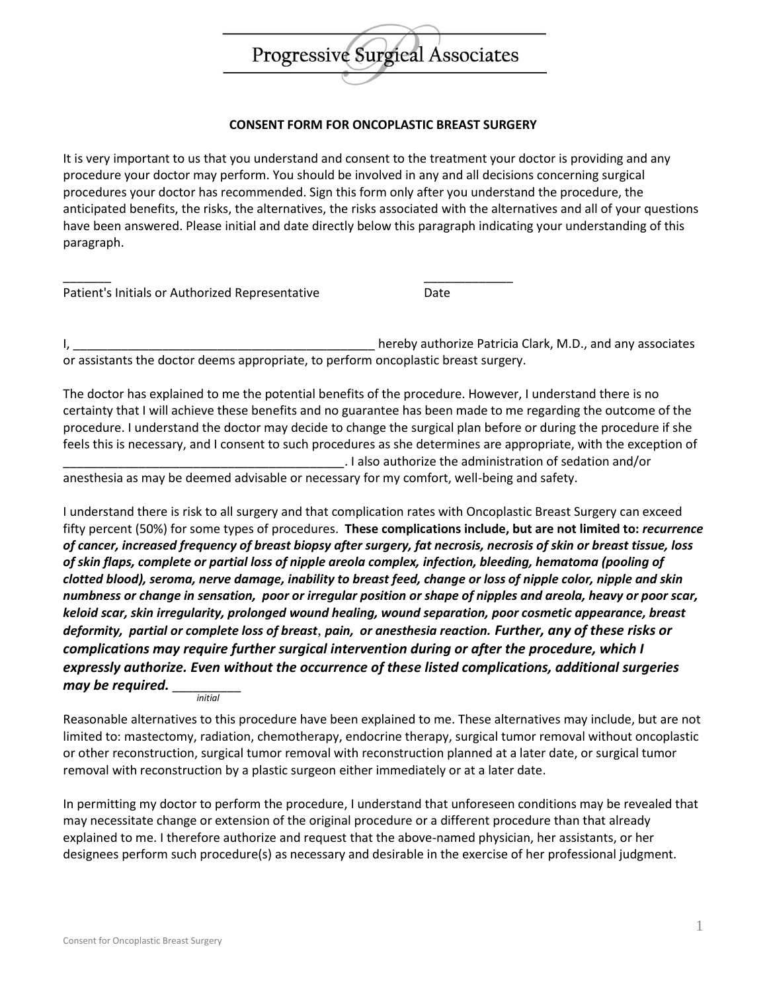

## **CONSENT FORM FOR ONCOPLASTIC BREAST SURGERY**

It is very important to us that you understand and consent to the treatment your doctor is providing and any procedure your doctor may perform. You should be involved in any and all decisions concerning surgical procedures your doctor has recommended. Sign this form only after you understand the procedure, the anticipated benefits, the risks, the alternatives, the risks associated with the alternatives and all of your questions have been answered. Please initial and date directly below this paragraph indicating your understanding of this paragraph.

| Patient's Initials or Authorized Representative | Date |
|-------------------------------------------------|------|

I, \_\_\_\_\_\_\_\_\_\_\_\_\_\_\_\_\_\_\_\_\_\_\_\_\_\_\_\_\_\_\_\_\_\_\_\_\_\_\_\_\_\_\_\_ hereby authorize Patricia Clark, M.D., and any associates or assistants the doctor deems appropriate, to perform oncoplastic breast surgery.

The doctor has explained to me the potential benefits of the procedure. However, I understand there is no certainty that I will achieve these benefits and no guarantee has been made to me regarding the outcome of the procedure. I understand the doctor may decide to change the surgical plan before or during the procedure if she feels this is necessary, and I consent to such procedures as she determines are appropriate, with the exception of \_\_\_\_\_\_\_\_\_\_\_\_\_\_\_\_\_\_\_\_\_\_\_\_\_\_\_\_\_\_\_\_\_\_\_\_\_\_\_\_\_. I also authorize the administration of sedation and/or

anesthesia as may be deemed advisable or necessary for my comfort, well-being and safety.

I understand there is risk to all surgery and that complication rates with Oncoplastic Breast Surgery can exceed fifty percent (50%) for some types of procedures. **These complications include, but are not limited to:** *recurrence of cancer, increased frequency of breast biopsy after surgery, fat necrosis, necrosis of skin or breast tissue, loss of skin flaps, complete or partial loss of nipple areola complex, infection, bleeding, hematoma (pooling of clotted blood), seroma, nerve damage, inability to breast feed, change or loss of nipple color, nipple and skin numbness or change in sensation, poor or irregular position or shape of nipples and areola, heavy or poor scar, keloid scar, skin irregularity, prolonged wound healing, wound separation, poor cosmetic appearance, breast deformity, partial or complete loss of breast*, *pain, or anesthesia reaction. Further, any of these risks or complications may require further surgical intervention during or after the procedure, which I expressly authorize. Even without the occurrence of these listed complications, additional surgeries*  may be required. *initial*

Reasonable alternatives to this procedure have been explained to me. These alternatives may include, but are not limited to: mastectomy, radiation, chemotherapy, endocrine therapy, surgical tumor removal without oncoplastic or other reconstruction, surgical tumor removal with reconstruction planned at a later date, or surgical tumor removal with reconstruction by a plastic surgeon either immediately or at a later date.

In permitting my doctor to perform the procedure, I understand that unforeseen conditions may be revealed that may necessitate change or extension of the original procedure or a different procedure than that already explained to me. I therefore authorize and request that the above-named physician, her assistants, or her designees perform such procedure(s) as necessary and desirable in the exercise of her professional judgment.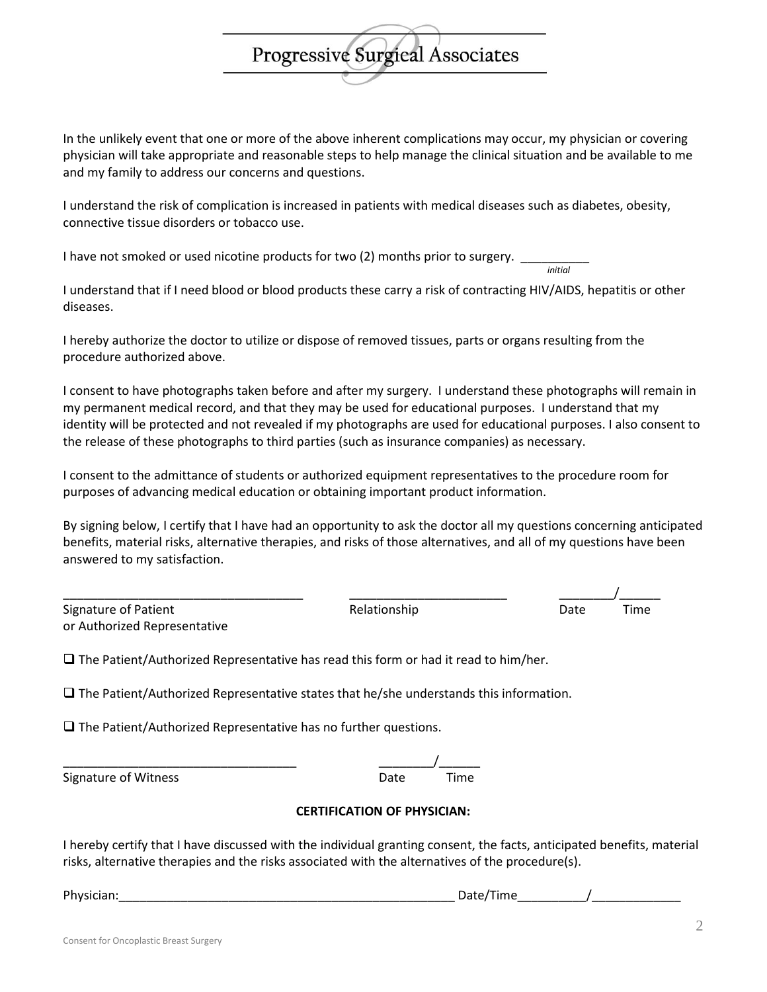physician will take appropriate and reasonable steps to help manage the clinical situation and be available to me and my family to address our concerns and questions.

In the unlikely event that one or more of the above inherent complications may occur, my physician or covering

Progressive Surgical Associates

I understand the risk of complication is increased in patients with medical diseases such as diabetes, obesity, connective tissue disorders or tobacco use.

I have not smoked or used nicotine products for two (2) months prior to surgery.

*initial*

I understand that if I need blood or blood products these carry a risk of contracting HIV/AIDS, hepatitis or other diseases.

I hereby authorize the doctor to utilize or dispose of removed tissues, parts or organs resulting from the procedure authorized above.

I consent to have photographs taken before and after my surgery. I understand these photographs will remain in my permanent medical record, and that they may be used for educational purposes. I understand that my identity will be protected and not revealed if my photographs are used for educational purposes. I also consent to the release of these photographs to third parties (such as insurance companies) as necessary.

I consent to the admittance of students or authorized equipment representatives to the procedure room for purposes of advancing medical education or obtaining important product information.

By signing below, I certify that I have had an opportunity to ask the doctor all my questions concerning anticipated benefits, material risks, alternative therapies, and risks of those alternatives, and all of my questions have been answered to my satisfaction.

| Signature of Patient         |
|------------------------------|
| or Authorized Representative |

Relationship **Date** Time

\_\_\_\_\_\_\_\_\_\_\_\_\_\_\_\_\_\_\_\_\_\_\_\_\_\_\_\_\_\_\_\_\_\_\_ \_\_\_\_\_\_\_\_\_\_\_\_\_\_\_\_\_\_\_\_\_\_\_ \_\_\_\_\_\_\_\_/\_\_\_\_\_\_

 $\Box$  The Patient/Authorized Representative has read this form or had it read to him/her.

 $\square$  The Patient/Authorized Representative states that he/she understands this information.

 $\Box$  The Patient/Authorized Representative has no further questions.

\_\_\_\_\_\_\_\_\_\_\_\_\_\_\_\_\_\_\_\_\_\_\_\_\_\_\_\_\_\_\_\_\_\_ \_\_\_\_\_\_\_\_/\_\_\_\_\_\_

Signature of Witness **Date Date** Time

## **CERTIFICATION OF PHYSICIAN:**

I hereby certify that I have discussed with the individual granting consent, the facts, anticipated benefits, material risks, alternative therapies and the risks associated with the alternatives of the procedure(s).

Physician:\_\_\_\_\_\_\_\_\_\_\_\_\_\_\_\_\_\_\_\_\_\_\_\_\_\_\_\_\_\_\_\_\_\_\_\_\_\_\_\_\_\_\_\_\_\_\_\_\_ Date/Time\_\_\_\_\_\_\_\_\_\_/\_\_\_\_\_\_\_\_\_\_\_\_\_